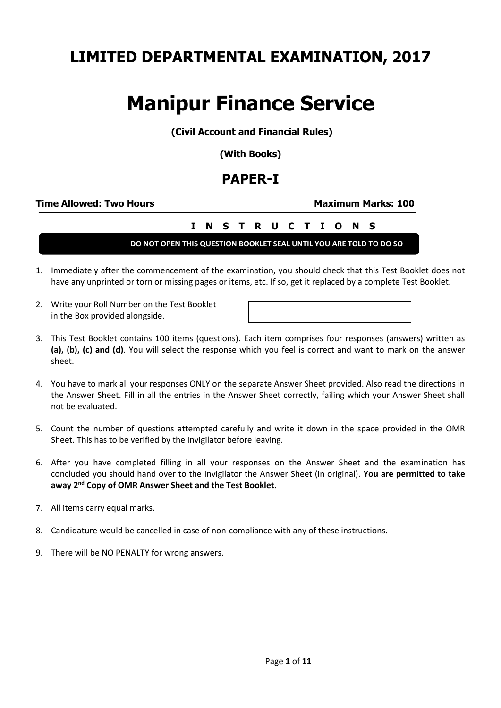# **LIMITED DEPARTMENTAL EXAMINATION, 2017**

# **Manipur Finance Service**

**(Civil Account and Financial Rules)**

**(With Books)**

# **PAPER-I**

### **Time Allowed: Two Hours <b>Maximum Marks: 100**

# **I N S T R U C T I O N S**

**DO NOT OPEN THIS QUESTION BOOKLET SEAL UNTIL YOU ARE TOLD TO DO SO**

- 1. Immediately after the commencement of the examination, you should check that this Test Booklet does not have any unprinted or torn or missing pages or items, etc. If so, get it replaced by a complete Test Booklet.
- 2. Write your Roll Number on the Test Booklet in the Box provided alongside.

- 3. This Test Booklet contains 100 items (questions). Each item comprises four responses (answers) written as **(a), (b), (c) and (d)**. You will select the response which you feel is correct and want to mark on the answer sheet.
- 4. You have to mark all your responses ONLY on the separate Answer Sheet provided. Also read the directions in the Answer Sheet. Fill in all the entries in the Answer Sheet correctly, failing which your Answer Sheet shall not be evaluated.
- 5. Count the number of questions attempted carefully and write it down in the space provided in the OMR Sheet. This has to be verified by the Invigilator before leaving.
- 6. After you have completed filling in all your responses on the Answer Sheet and the examination has concluded you should hand over to the Invigilator the Answer Sheet (in original). **You are permitted to take away 2nd Copy of OMR Answer Sheet and the Test Booklet.**
- 7. All items carry equal marks.
- 8. Candidature would be cancelled in case of non-compliance with any of these instructions.
- 9. There will be NO PENALTY for wrong answers.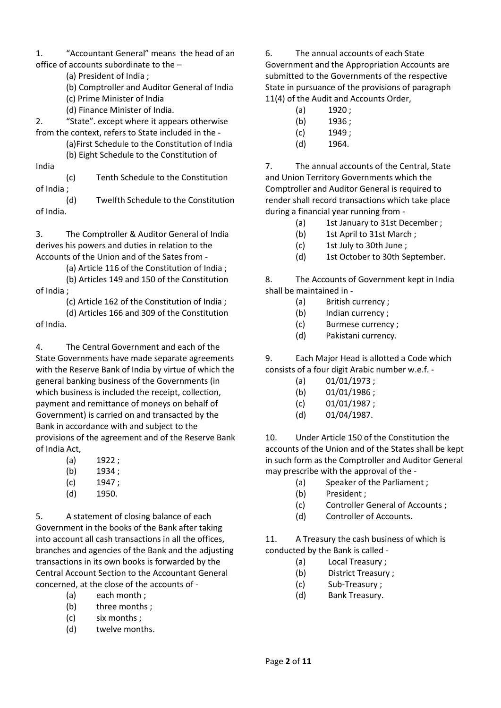1. "Accountant General" means the head of an office of accounts subordinate to the –

- (a) President of India ;
- (b) Comptroller and Auditor General of India
- (c) Prime Minister of India
- (d) Finance Minister of India.

2. "State". except where it appears otherwise from the context, refers to State included in the -

(a)First Schedule to the Constitution of India (b) Eight Schedule to the Constitution of

India

(c) Tenth Schedule to the Constitution of India ;

(d) Twelfth Schedule to the Constitution of India.

3. The Comptroller & Auditor General of India derives his powers and duties in relation to the Accounts of the Union and of the Sates from -

(a) Article 116 of the Constitution of India ;

(b) Articles 149 and 150 of the Constitution of India ;

(c) Article 162 of the Constitution of India ;

(d) Articles 166 and 309 of the Constitution of India.

4. The Central Government and each of the State Governments have made separate agreements with the Reserve Bank of India by virtue of which the general banking business of the Governments (in which business is included the receipt, collection, payment and remittance of moneys on behalf of Government) is carried on and transacted by the Bank in accordance with and subject to the provisions of the agreement and of the Reserve Bank of India Act,

- (a) 1922 ;
- (b) 1934 :
- (c) 1947 ;
- (d) 1950.

5. A statement of closing balance of each Government in the books of the Bank after taking into account all cash transactions in all the offices, branches and agencies of the Bank and the adjusting transactions in its own books is forwarded by the Central Account Section to the Accountant General concerned, at the close of the accounts of -

- (a) each month ;
- (b) three months ;
- (c) six months ;
- (d) twelve months.

6. The annual accounts of each State Government and the Appropriation Accounts are submitted to the Governments of the respective State in pursuance of the provisions of paragraph 11(4) of the Audit and Accounts Order,

- (a) 1920 ;
- (b) 1936 ;
- (c) 1949 ;
- (d) 1964.

7. The annual accounts of the Central, State and Union Territory Governments which the Comptroller and Auditor General is required to render shall record transactions which take place during a financial year running from -

- (a) 1st January to 31st December ;
- (b) 1st April to 31st March ;
- (c) 1st July to 30th June ;
- (d) 1st October to 30th September.

8. The Accounts of Government kept in India shall be maintained in -

- (a) British currency ;
- (b) Indian currency ;
- (c) Burmese currency ;
- (d) Pakistani currency.

9. Each Major Head is allotted a Code which consists of a four digit Arabic number w.e.f. -

- (a) 01/01/1973 ;
- (b)  $01/01/1986$ ;
- (c) 01/01/1987 ;
- (d) 01/04/1987.

10. Under Article 150 of the Constitution the accounts of the Union and of the States shall be kept in such form as the Comptroller and Auditor General may prescribe with the approval of the -

- (a) Speaker of the Parliament ;
- (b) President ;
- (c) Controller General of Accounts ;
- (d) Controller of Accounts.

11. A Treasury the cash business of which is conducted by the Bank is called -

- (a) Local Treasury ;
- (b) District Treasury ;
- (c) Sub-Treasury ;
- (d) Bank Treasury.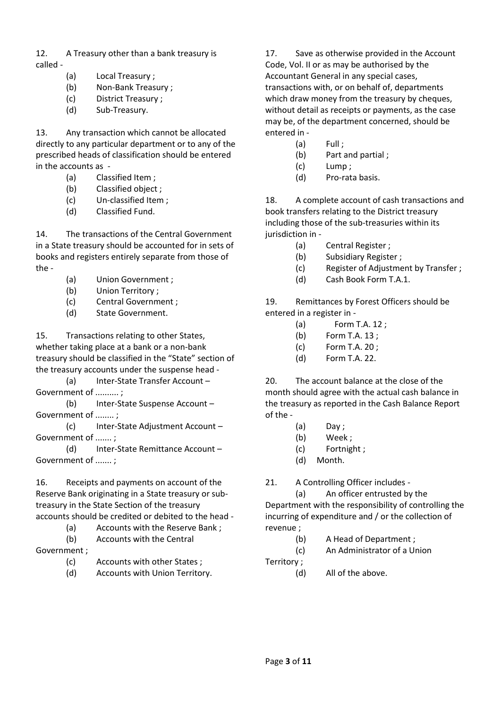12. A Treasury other than a bank treasury is called -

- (a) Local Treasury ;
- (b) Non-Bank Treasury ;
- (c) District Treasury ;
- (d) Sub-Treasury.

13. Any transaction which cannot be allocated directly to any particular department or to any of the prescribed heads of classification should be entered in the accounts as -

- (a) Classified Item ;
- (b) Classified object ;
- (c) Un-classified Item ;
- (d) Classified Fund.

14. The transactions of the Central Government in a State treasury should be accounted for in sets of books and registers entirely separate from those of the -

- (a) Union Government ;
- (b) Union Territory ;
- (c) Central Government ;
- (d) State Government.

15. Transactions relating to other States, whether taking place at a bank or a non-bank treasury should be classified in the "State" section of the treasury accounts under the suspense head -

(a) Inter-State Transfer Account – Government of .......... ;

(b) Inter-State Suspense Account – Government of ........ ;

(c) Inter-State Adjustment Account – Government of ....... ;

(d) Inter-State Remittance Account – Government of ....... ;

16. Receipts and payments on account of the Reserve Bank originating in a State treasury or subtreasury in the State Section of the treasury accounts should be credited or debited to the head -

(a) Accounts with the Reserve Bank ; (b) Accounts with the Central

Government ;

- (c) Accounts with other States ;
- (d) Accounts with Union Territory.

17. Save as otherwise provided in the Account Code, Vol. II or as may be authorised by the Accountant General in any special cases, transactions with, or on behalf of, departments which draw money from the treasury by cheques, without detail as receipts or payments, as the case may be, of the department concerned, should be entered in -

- $(a)$  Full :
- (b) Part and partial ;
- (c) Lump ;
- (d) Pro-rata basis.

18. A complete account of cash transactions and book transfers relating to the District treasury including those of the sub-treasuries within its jurisdiction in -

- (a) Central Register ;
- (b) Subsidiary Register ;
- (c) Register of Adjustment by Transfer ;
- (d) Cash Book Form T.A.1.

19. Remittances by Forest Officers should be entered in a register in -

- (a) Form T.A. 12 ;
- (b) Form T.A. 13 ;
- (c) Form T.A. 20 ;
- (d) Form T.A. 22.

20. The account balance at the close of the month should agree with the actual cash balance in the treasury as reported in the Cash Balance Report of the -

- (a) Day ;
- (b) Week ;
- (c) Fortnight ;
- (d) Month.

21. A Controlling Officer includes -

(a) An officer entrusted by the Department with the responsibility of controlling the incurring of expenditure and / or the collection of revenue ;

- (b) A Head of Department ;
- (c) An Administrator of a Union

Territory ;

(d) All of the above.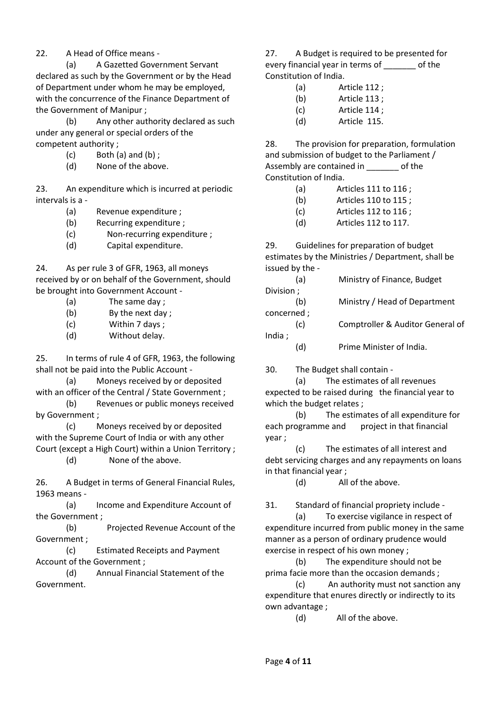### 22. A Head of Office means -

(a) A Gazetted Government Servant declared as such by the Government or by the Head of Department under whom he may be employed, with the concurrence of the Finance Department of the Government of Manipur ;

(b) Any other authority declared as such under any general or special orders of the competent authority ;

- $(c)$  Both  $(a)$  and  $(b)$ ;
- (d) None of the above.

23. An expenditure which is incurred at periodic intervals is a -

- (a) Revenue expenditure ;
- (b) Recurring expenditure ;
- (c) Non-recurring expenditure ;
- (d) Capital expenditure.

24. As per rule 3 of GFR, 1963, all moneys received by or on behalf of the Government, should be brought into Government Account -

- (a) The same day ;
- (b) By the next day ;
- (c) Within 7 days ;
- (d) Without delay.

25. In terms of rule 4 of GFR, 1963, the following shall not be paid into the Public Account -

(a) Moneys received by or deposited with an officer of the Central / State Government ;

(b) Revenues or public moneys received by Government ;

(c) Moneys received by or deposited with the Supreme Court of India or with any other Court (except a High Court) within a Union Territory ;

(d) None of the above.

26. A Budget in terms of General Financial Rules, 1963 means -

(a) Income and Expenditure Account of the Government ;

(b) Projected Revenue Account of the Government ;

(c) Estimated Receipts and Payment Account of the Government ;

(d) Annual Financial Statement of the Government.

27. A Budget is required to be presented for every financial year in terms of of the Constitution of India.

- (a) Article 112 ;
- (b) Article 113 ;
- (c) Article 114 ;
- (d) Article 115.

28. The provision for preparation, formulation and submission of budget to the Parliament / Assembly are contained in \_\_\_\_\_\_\_ of the Constitution of India.

- (a) Articles 111 to 116 ;
- (b) Articles 110 to 115 ;
- (c) Articles 112 to 116 ;
- (d) Articles 112 to 117.

29. Guidelines for preparation of budget estimates by the Ministries / Department, shall be issued by the -

|            | (a) | Ministry of Finance, Budget      |  |
|------------|-----|----------------------------------|--|
| Division;  |     |                                  |  |
|            | (b) | Ministry / Head of Department    |  |
| concerned; |     |                                  |  |
|            | (c) | Comptroller & Auditor General of |  |
| India ;    |     |                                  |  |
|            | .d) | Prime Minister of India.         |  |

30. The Budget shall contain -

(a) The estimates of all revenues expected to be raised during the financial year to which the budget relates ;

(b) The estimates of all expenditure for each programme and project in that financial year ;

(c) The estimates of all interest and debt servicing charges and any repayments on loans in that financial year ;

(d) All of the above.

31. Standard of financial propriety include -

(a) To exercise vigilance in respect of expenditure incurred from public money in the same manner as a person of ordinary prudence would exercise in respect of his own money ;

(b) The expenditure should not be prima facie more than the occasion demands ;

(c) An authority must not sanction any expenditure that enures directly or indirectly to its own advantage ;

(d) All of the above.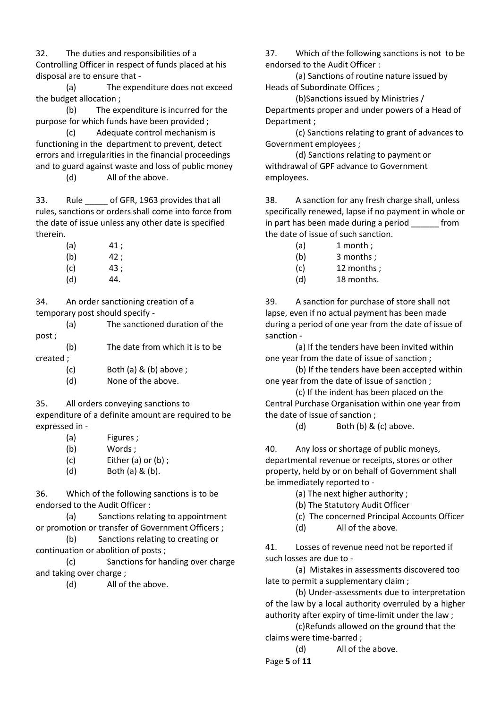32. The duties and responsibilities of a Controlling Officer in respect of funds placed at his disposal are to ensure that -

(a) The expenditure does not exceed the budget allocation ;

(b) The expenditure is incurred for the purpose for which funds have been provided ;

(c) Adequate control mechanism is functioning in the department to prevent, detect errors and irregularities in the financial proceedings and to guard against waste and loss of public money

(d) All of the above.

33. Rule of GFR, 1963 provides that all rules, sanctions or orders shall come into force from the date of issue unless any other date is specified therein.

| (a) | 41 : |
|-----|------|
| (b) | 42 : |
| (c) | 43 : |
| (d) | 44.  |

34. An order sanctioning creation of a temporary post should specify -

(a) The sanctioned duration of the post ;

(b) The date from which it is to be created ;

- (c) Both (a) & (b) above ;
- (d) None of the above.

35. All orders conveying sanctions to

expenditure of a definite amount are required to be expressed in -

| (a) | Figures;                |
|-----|-------------------------|
| (b) | Words ;                 |
| (c) | Either $(a)$ or $(b)$ ; |
| (d) | Both $(a)$ & $(b)$ .    |

36. Which of the following sanctions is to be endorsed to the Audit Officer :

(a) Sanctions relating to appointment or promotion or transfer of Government Officers ;

(b) Sanctions relating to creating or continuation or abolition of posts ;

(c) Sanctions for handing over charge and taking over charge ;

(d) All of the above.

37. Which of the following sanctions is not to be endorsed to the Audit Officer :

(a) Sanctions of routine nature issued by Heads of Subordinate Offices ;

(b)Sanctions issued by Ministries / Departments proper and under powers of a Head of Department ;

(c) Sanctions relating to grant of advances to Government employees ;

(d) Sanctions relating to payment or withdrawal of GPF advance to Government employees.

38. A sanction for any fresh charge shall, unless specifically renewed, lapse if no payment in whole or in part has been made during a period from the date of issue of such sanction.

- $(a)$  1 month :
- (b) 3 months ;
- (c) 12 months ;
- (d) 18 months.

39. A sanction for purchase of store shall not lapse, even if no actual payment has been made during a period of one year from the date of issue of sanction -

(a) If the tenders have been invited within one year from the date of issue of sanction ;

(b) If the tenders have been accepted within one year from the date of issue of sanction ;

(c) If the indent has been placed on the Central Purchase Organisation within one year from the date of issue of sanction ;

(d) Both (b) & (c) above.

40. Any loss or shortage of public moneys, departmental revenue or receipts, stores or other property, held by or on behalf of Government shall be immediately reported to -

- (a) The next higher authority ;
- (b) The Statutory Audit Officer
- (c) The concerned Principal Accounts Officer
- (d) All of the above.

41. Losses of revenue need not be reported if such losses are due to -

(a) Mistakes in assessments discovered too late to permit a supplementary claim ;

(b) Under-assessments due to interpretation of the law by a local authority overruled by a higher authority after expiry of time-limit under the law ;

(c)Refunds allowed on the ground that the claims were time-barred ;

(d) All of the above.

Page **5** of **11**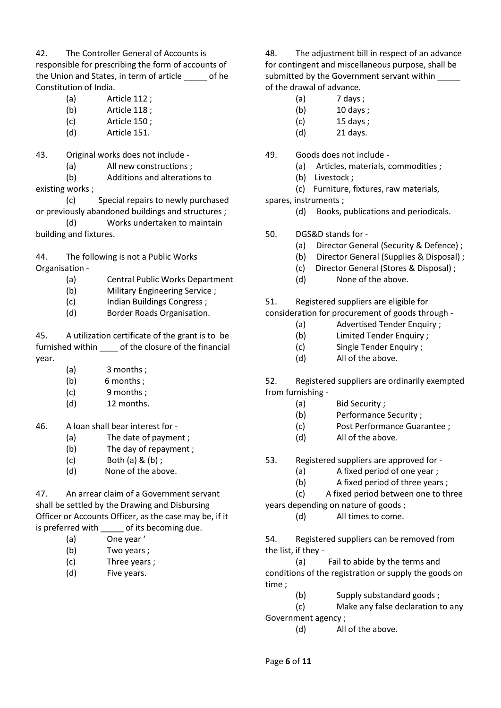42. The Controller General of Accounts is

responsible for prescribing the form of accounts of the Union and States, in term of article \_\_\_\_\_ of he Constitution of India.

- (a) Article 112 ;
- (b) Article 118 ;
- (c) Article 150 ;
- (d) Article 151.
- 43. Original works does not include
	- (a) All new constructions ;
	- (b) Additions and alterations to

existing works ;

(c) Special repairs to newly purchased or previously abandoned buildings and structures ;

(d) Works undertaken to maintain building and fixtures.

44. The following is not a Public Works Organisation -

- (a) Central Public Works Department
- (b) Military Engineering Service ;
- (c) Indian Buildings Congress ;
- (d) Border Roads Organisation.

45. A utilization certificate of the grant is to be furnished within \_\_\_\_ of the closure of the financial year.

- (a) 3 months ;
- (b) 6 months ;
- (c) 9 months ;
- (d) 12 months.

46. A loan shall bear interest for -

- (a) The date of payment ;
- (b) The day of repayment ;
- $(c)$  Both  $(a)$  &  $(b)$  :
- (d) None of the above.

47. An arrear claim of a Government servant shall be settled by the Drawing and Disbursing Officer or Accounts Officer, as the case may be, if it is preferred with of its becoming due.

- (a) One year '
- (b) Two years ;
- (c) Three years ;
- (d) Five years.

48. The adjustment bill in respect of an advance for contingent and miscellaneous purpose, shall be submitted by the Government servant within of the drawal of advance.

- (a) 7 days ;
- (b) 10 days ;
- (c) 15 days ;
- (d) 21 days.

49. Goods does not include -

- (a) Articles, materials, commodities ;
- (b) Livestock ;
	- (c) Furniture, fixtures, raw materials,
- spares, instruments ;
	- (d) Books, publications and periodicals.
- 50. DGS&D stands for
	- (a) Director General (Security & Defence) ;
	- (b) Director General (Supplies & Disposal) ;
	- (c) Director General (Stores & Disposal) ;
	- (d) None of the above.

51. Registered suppliers are eligible for

consideration for procurement of goods through -

- (a) Advertised Tender Enquiry ;
- (b) Limited Tender Enquiry ;
- (c) Single Tender Enquiry ;
- (d) All of the above.

52. Registered suppliers are ordinarily exempted from furnishing -

- (a) Bid Security ;
- (b) Performance Security ;
- (c) Post Performance Guarantee ;
- (d) All of the above.
- 53. Registered suppliers are approved for
	- (a) A fixed period of one year ;
	- (b) A fixed period of three years ;

(c) A fixed period between one to three years depending on nature of goods ;

(d) All times to come.

54. Registered suppliers can be removed from the list, if they -

(a) Fail to abide by the terms and conditions of the registration or supply the goods on time ;

(b) Supply substandard goods ;

(c) Make any false declaration to any Government agency ;

(d) All of the above.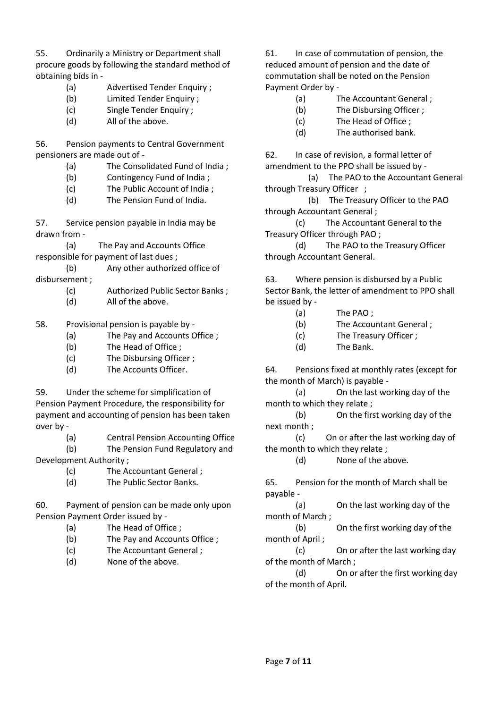55. Ordinarily a Ministry or Department shall procure goods by following the standard method of obtaining bids in -

- (a) Advertised Tender Enquiry ;
- (b) Limited Tender Enquiry ;
- (c) Single Tender Enquiry ;
- (d) All of the above.

56. Pension payments to Central Government pensioners are made out of -

- (a) The Consolidated Fund of India ;
- (b) Contingency Fund of India ;
- (c) The Public Account of India ;
- (d) The Pension Fund of India.

57. Service pension payable in India may be drawn from -

(a) The Pay and Accounts Office responsible for payment of last dues ;

- (b) Any other authorized office of disbursement ;
	- (c) Authorized Public Sector Banks ;
	- (d) All of the above.
- 58. Provisional pension is payable by
	- (a) The Pay and Accounts Office ;
	- (b) The Head of Office ;
	- (c) The Disbursing Officer ;
	- (d) The Accounts Officer.

59. Under the scheme for simplification of Pension Payment Procedure, the responsibility for payment and accounting of pension has been taken over by -

(a) Central Pension Accounting Office

(b) The Pension Fund Regulatory and Development Authority ;

- (c) The Accountant General ;
- (d) The Public Sector Banks.

60. Payment of pension can be made only upon Pension Payment Order issued by -

- (a) The Head of Office ;
- (b) The Pay and Accounts Office ;
- (c) The Accountant General ;
- (d) None of the above.

61. In case of commutation of pension, the reduced amount of pension and the date of commutation shall be noted on the Pension Payment Order by -

- (a) The Accountant General ;
- (b) The Disbursing Officer ;
- (c) The Head of Office ;
- (d) The authorised bank.

62. In case of revision, a formal letter of amendment to the PPO shall be issued by -

 (a) The PAO to the Accountant General through Treasury Officer ;

 (b) The Treasury Officer to the PAO through Accountant General ;

(c) The Accountant General to the Treasury Officer through PAO ;

(d) The PAO to the Treasury Officer through Accountant General.

63. Where pension is disbursed by a Public Sector Bank, the letter of amendment to PPO shall be issued by -

- (a) The PAO ;
- (b) The Accountant General ;
- (c) The Treasury Officer ;
- (d) The Bank.

64. Pensions fixed at monthly rates (except for the month of March) is payable -

(a) On the last working day of the month to which they relate ;

(b) On the first working day of the next month ;

(c) On or after the last working day of the month to which they relate ;

(d) None of the above.

65. Pension for the month of March shall be payable -

(a) On the last working day of the month of March ;

(b) On the first working day of the month of April ;

(c) On or after the last working day of the month of March ;

(d) On or after the first working day of the month of April.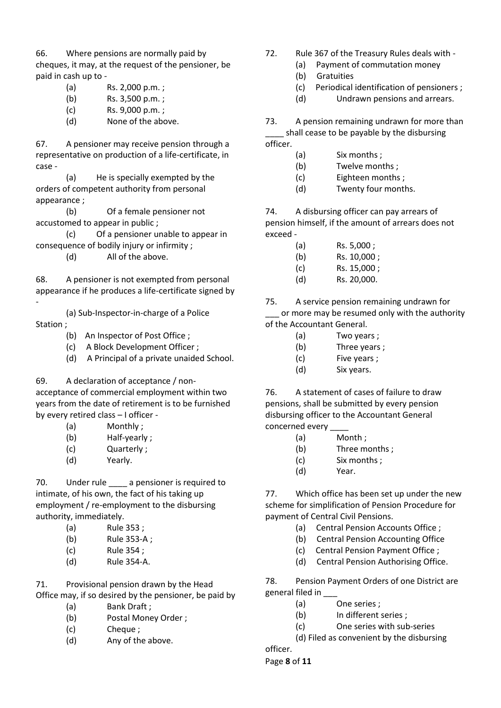66. Where pensions are normally paid by cheques, it may, at the request of the pensioner, be paid in cash up to -

- (a) Rs. 2,000 p.m. ;
- (b) Rs. 3,500 p.m. ;
- 
- 

67. A pensioner may receive pension through a representative on production of a life-certificate, in case -

(a) He is specially exempted by the orders of competent authority from personal appearance ;

(b) Of a female pensioner not accustomed to appear in public ;

(c) Of a pensioner unable to appear in consequence of bodily injury or infirmity ;

(d) All of the above.

68. A pensioner is not exempted from personal appearance if he produces a life-certificate signed by -

(a) Sub-Inspector-in-charge of a Police Station ;

- (b) An Inspector of Post Office ;
- (c) A Block Development Officer ;
- (d) A Principal of a private unaided School.

69. A declaration of acceptance / non-

acceptance of commercial employment within two years from the date of retirement is to be furnished by every retired class – I officer -

- (a) Monthly ;
- (b) Half-yearly ;
- (c) Quarterly ;
- (d) Yearly.

70. Under rule a pensioner is required to intimate, of his own, the fact of his taking up employment / re-employment to the disbursing authority, immediately.

- (a) Rule 353 ;
- (b) Rule 353-A ;
- (c) Rule 354 ;
- (d) Rule 354-A.

71. Provisional pension drawn by the Head Office may, if so desired by the pensioner, be paid by

- (a) Bank Draft ;
- (b) Postal Money Order ;
- (c) Cheque ;
- (d) Any of the above.
- 72. Rule 367 of the Treasury Rules deals with
	- (a) Payment of commutation money
	- (b) Gratuities
	- (c) Periodical identification of pensioners ;
	- (d) Undrawn pensions and arrears.

73. A pension remaining undrawn for more than shall cease to be payable by the disbursing officer.

- (a) Six months ;
- (b) Twelve months ;
- (c) Eighteen months ;
- (d) Twenty four months.

74. A disbursing officer can pay arrears of pension himself, if the amount of arrears does not exceed -

- (a) Rs. 5,000 ;
- (b) Rs. 10,000 ;
- (c) Rs. 15,000 ;
- (d) Rs. 20,000.

75. A service pension remaining undrawn for or more may be resumed only with the authority of the Accountant General.

- (a) Two years ;
- (b) Three years ;
- (c) Five years ;
- (d) Six years.

76. A statement of cases of failure to draw pensions, shall be submitted by every pension disbursing officer to the Accountant General concerned every \_\_\_\_

- (a) Month ;
- (b) Three months ;
- (c) Six months ;
- (d) Year.

77. Which office has been set up under the new scheme for simplification of Pension Procedure for payment of Central Civil Pensions.

- (a) Central Pension Accounts Office ;
- (b) Central Pension Accounting Office
- (c) Central Pension Payment Office ;
- (d) Central Pension Authorising Office.

78. Pension Payment Orders of one District are general filed in \_\_\_

- (a) One series ;
- (b) In different series ;
- (c) One series with sub-series

(d) Filed as convenient by the disbursing

officer.

Page **8** of **11**

- 
- 
- 

- 
- (c) Rs. 9,000 p.m. ;
- (d) None of the above.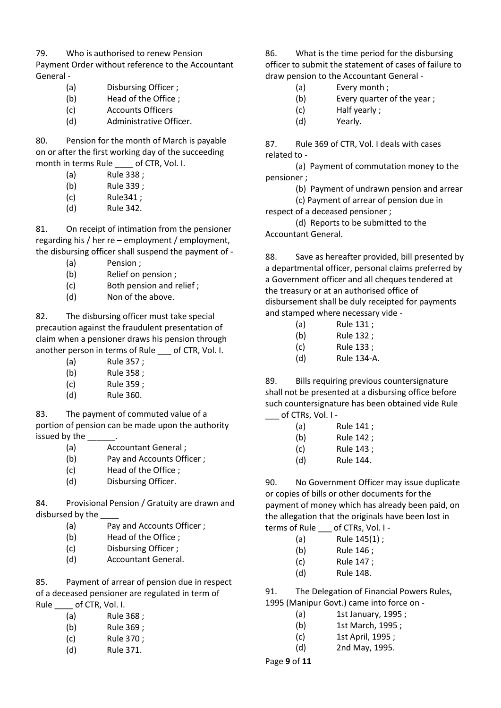79. Who is authorised to renew Pension

Payment Order without reference to the Accountant General -

- (a) Disbursing Officer ;
- (b) Head of the Office ;
- (c) Accounts Officers
- (d) Administrative Officer.

80. Pension for the month of March is payable on or after the first working day of the succeeding month in terms Rule of CTR, Vol. I.

- (a) Rule 338 ;
- (b) Rule 339 ;
- (c) Rule341 ;
- (d) Rule 342.

81. On receipt of intimation from the pensioner regarding his / her re – employment / employment, the disbursing officer shall suspend the payment of -

- (a) Pension ;
- (b) Relief on pension ;
- (c) Both pension and relief ;
- (d) Non of the above.

82. The disbursing officer must take special precaution against the fraudulent presentation of claim when a pensioner draws his pension through another person in terms of Rule \_\_\_ of CTR, Vol. I.

- (a) Rule 357 ;
- (b) Rule 358 ;
- (c) Rule 359 ;
- (d) Rule 360.

83. The payment of commuted value of a portion of pension can be made upon the authority issued by the

- (a) Accountant General ;
- (b) Pay and Accounts Officer ;
- (c) Head of the Office ;
- (d) Disbursing Officer.

84. Provisional Pension / Gratuity are drawn and disbursed by the

- (a) Pay and Accounts Officer ;
- (b) Head of the Office ;
- (c) Disbursing Officer ;
- (d) Accountant General.

85. Payment of arrear of pension due in respect of a deceased pensioner are regulated in term of Rule of CTR, Vol. I.

| (a) | Rule 368; |
|-----|-----------|
| (b) | Rule 369; |
| (c) | Rule 370; |
| (d) | Rule 371. |

86. What is the time period for the disbursing officer to submit the statement of cases of failure to draw pension to the Accountant General -

- (a) Every month ;
- (b) Every quarter of the year ;
- (c) Half yearly ;
- (d) Yearly.

87. Rule 369 of CTR, Vol. I deals with cases related to -

(a) Payment of commutation money to the pensioner ;

(b) Payment of undrawn pension and arrear

(c) Payment of arrear of pension due in respect of a deceased pensioner ;

(d) Reports to be submitted to the Accountant General.

88. Save as hereafter provided, bill presented by a departmental officer, personal claims preferred by a Government officer and all cheques tendered at the treasury or at an authorised office of disbursement shall be duly receipted for payments and stamped where necessary vide -

- (a) Rule 131 ;
- (b) Rule 132 ;
- (c) Rule 133 ;
- (d) Rule 134-A.

89. Bills requiring previous countersignature shall not be presented at a disbursing office before such countersignature has been obtained vide Rule of CTRs, Vol. I -

- (a) Rule 141 ;
- (b) Rule 142 ;
- (c) Rule 143 ;
- (d) Rule 144.

90. No Government Officer may issue duplicate or copies of bills or other documents for the payment of money which has already been paid, on the allegation that the originals have been lost in terms of Rule \_\_\_ of CTRs, Vol. I -

| .   |  |  |              |  |
|-----|--|--|--------------|--|
| (a) |  |  | Rule 145(1); |  |

- (b) Rule 146 ;
- (c) Rule 147 ;
- (d) Rule 148.

91. The Delegation of Financial Powers Rules, 1995 (Manipur Govt.) came into force on -

- (a) 1st January, 1995 ;
	- (b) 1st March, 1995 ;
	- (c) 1st April, 1995 ;
	- (d) 2nd May, 1995.

Page **9** of **11**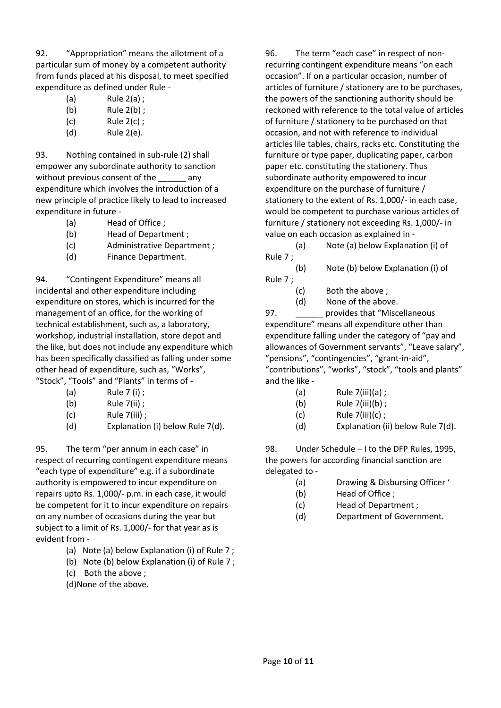92. "Appropriation" means the allotment of a particular sum of money by a competent authority from funds placed at his disposal, to meet specified expenditure as defined under Rule -

| (a) | Rule $2(a)$ ; |
|-----|---------------|
| (b) | Rule $2(b)$ ; |
| (c) | Rule $2(c)$ ; |

(d) Rule 2(e).

93. Nothing contained in sub-rule (2) shall empower any subordinate authority to sanction without previous consent of the \_\_\_\_\_\_ any expenditure which involves the introduction of a new principle of practice likely to lead to increased expenditure in future -

- (a) Head of Office ;
- (b) Head of Department ;
- (c) Administrative Department ;
- (d) Finance Department.

94. "Contingent Expenditure" means all incidental and other expenditure including expenditure on stores, which is incurred for the management of an office, for the working of technical establishment, such as, a laboratory, workshop, industrial installation, store depot and the like, but does not include any expenditure which has been specifically classified as falling under some other head of expenditure, such as, "Works", "Stock", "Tools" and "Plants" in terms of -

- (a) Rule 7 (i) ;
- (b) Rule 7(ii) ;
- $(c)$  Rule  $7(iii)$  ;
- (d) Explanation (i) below Rule 7(d).

95. The term "per annum in each case" in respect of recurring contingent expenditure means "each type of expenditure" e.g. if a subordinate authority is empowered to incur expenditure on repairs upto Rs. 1,000/- p.m. in each case, it would be competent for it to incur expenditure on repairs on any number of occasions during the year but subject to a limit of Rs. 1,000/- for that year as is evident from -

- (a) Note (a) below Explanation (i) of Rule 7 ;
- (b) Note (b) below Explanation (i) of Rule 7 ;
- (c) Both the above ;
- (d)None of the above.

96. The term "each case" in respect of nonrecurring contingent expenditure means "on each occasion". If on a particular occasion, number of articles of furniture / stationery are to be purchases, the powers of the sanctioning authority should be reckoned with reference to the total value of articles of furniture / stationery to be purchased on that occasion, and not with reference to individual articles lile tables, chairs, racks etc. Constituting the furniture or type paper, duplicating paper, carbon paper etc. constituting the stationery. Thus subordinate authority empowered to incur expenditure on the purchase of furniture / stationery to the extent of Rs. 1,000/- in each case, would be competent to purchase various articles of furniture / stationery not exceeding Rs. 1,000/- in value on each occasion as explained in -

(a) Note (a) below Explanation (i) of Rule 7 ;

(b) Note (b) below Explanation (i) of Rule 7 ;

- (c) Both the above ;
- (d) None of the above.

97. **Example 20 provides that "Miscellaneous** expenditure" means all expenditure other than expenditure falling under the category of "pay and allowances of Government servants", "Leave salary", "pensions", "contingencies", "grant-in-aid", "contributions", "works", "stock", "tools and plants" and the like -

- (a)  $Rule 7(iii)(a)$ ;
- (b)  $Rule 7(iii)(b)$ ;
- $(c)$  Rule  $7(iii)(c)$  ;
- (d) Explanation (ii) below Rule 7(d).

98. Under Schedule – I to the DFP Rules, 1995, the powers for according financial sanction are delegated to -

- (a) Drawing & Disbursing Officer '
- (b) Head of Office ;
- (c) Head of Department ;
- (d) Department of Government.